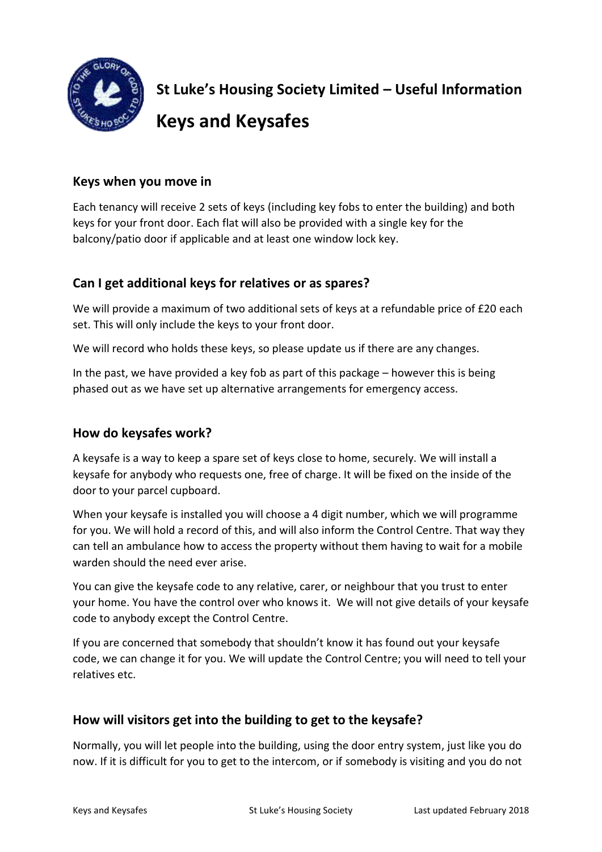

**St Luke's Housing Society Limited – Useful Information Keys and Keysafes**

#### **Keys when you move in**

Each tenancy will receive 2 sets of keys (including key fobs to enter the building) and both keys for your front door. Each flat will also be provided with a single key for the balcony/patio door if applicable and at least one window lock key.

### **Can I get additional keys for relatives or as spares?**

We will provide a maximum of two additional sets of keys at a refundable price of £20 each set. This will only include the keys to your front door.

We will record who holds these keys, so please update us if there are any changes.

In the past, we have provided a key fob as part of this package – however this is being phased out as we have set up alternative arrangements for emergency access.

### **How do keysafes work?**

A keysafe is a way to keep a spare set of keys close to home, securely. We will install a keysafe for anybody who requests one, free of charge. It will be fixed on the inside of the door to your parcel cupboard.

When your keysafe is installed you will choose a 4 digit number, which we will programme for you. We will hold a record of this, and will also inform the Control Centre. That way they can tell an ambulance how to access the property without them having to wait for a mobile warden should the need ever arise.

You can give the keysafe code to any relative, carer, or neighbour that you trust to enter your home. You have the control over who knows it. We will not give details of your keysafe code to anybody except the Control Centre.

If you are concerned that somebody that shouldn't know it has found out your keysafe code, we can change it for you. We will update the Control Centre; you will need to tell your relatives etc.

### **How will visitors get into the building to get to the keysafe?**

Normally, you will let people into the building, using the door entry system, just like you do now. If it is difficult for you to get to the intercom, or if somebody is visiting and you do not